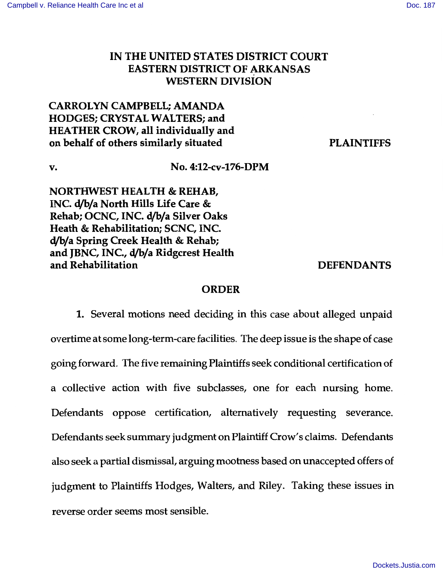## IN THE UNITED STATES DISTRICT COURT EASTERN DISTRICT OF ARKANSAS ' WESTERN DIVISION

## CARROLYN CAMPBELL; AMANDA HODGES; CRYSTAL WALTERS; and HEATHER CROW, all individually and on behalf of others similarly situated

PLAINTIFFS

v. No. 4:12-cv-176-DPM

NORTHWEST HEALTH & REHAB, INC. d/b/a North Hills Life Care & Rehab; OCNC, INC. d/b/a Silver Oaks Heath & Rehabilitation; SCNC, INC. d/b/a Spring Creek Health & Rehab; and JBNC, INC., d/b/a Ridgcrest Health and Rehabilitation and Rehabilitation

## ORDER

1. Several motions need deciding in this case about alleged unpaid overtime at some long-term-care facilities. The deep issue is the shape of case going forward. The five remaining Plaintiffs seek conditional certification of a collective action with five subclasses, one for each nursing home. Defendants oppose certification, alternatively requesting severance. Defendants seek summary judgment on Plaintiff Crow' s claims. Defendants also seek a partial dismissal, arguing mootness based on unaccepted offers of judgment to Plaintiffs Hodges, Walters, and Riley. Taking these issues in reverse order seems most sensible.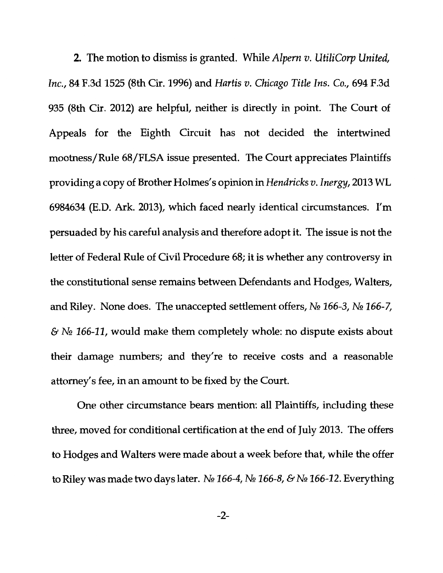2. The motion to dismiss is granted. While *Alpern v. Utili Corp United, Inc.,* 84 F.3d 1525 (8th Cir. 1996) and *Hartis v. Chicago Title Ins. Co.,* 694 F.3d 935 (8th Cir. 2012) are helpful, neither is directly in point. The Court of Appeals for the Eighth Circuit has not decided the intertwined mootness/Rule 68/FLSA issue presented. The Court appreciates Plaintiffs providing a copy of Brother Holmes's opinion in *Hendricks v. Inergy,* 2013 WL 6984634 (E.D. Ark. 2013), which faced nearly identical circumstances. I'm persuaded by his careful analysis and therefore adopt it. The issue is not the letter of Federal Rule of Civil Procedure 68; it is whether any controversy in the constitutional sense remains between Defendants and Hodges, Walters, and Riley. None does. The unaccepted settlement offers,  $N_2$  166-3,  $N_2$  166-7,  $\&$  No 166-11, would make them completely whole: no dispute exists about their damage numbers; and they're to receive costs and a reasonable attorney's fee, in an amount to be fixed by the Court.

One other circumstance bears mention: all Plaintiffs, including these three, moved for conditional certification at the end of July 2013. The offers to Hodges and Walters were made about a week before that, while the offer to Riley was made two days later. No 166-4, No 166-8, & No 166-12. Everything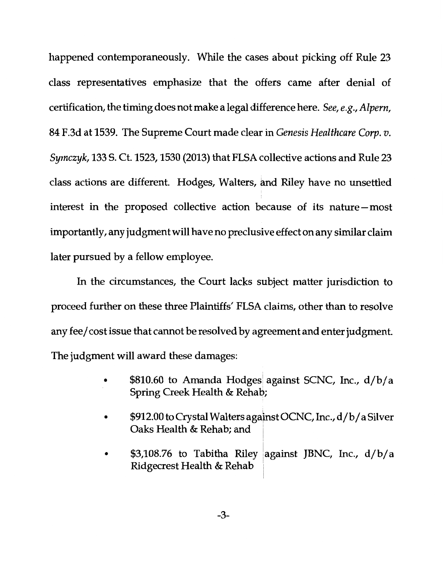happened contemporaneously. While the cases about picking off Rule 23 class representatives emphasize that the offers came after denial of certification, the timing does not make a legal difference here. *See, e.g., Alpern,*  84 F.3d at 1539. The Supreme Court made clear in *Genesis Healthcare Corp. v. Symczyk,* 133 S. Ct. 1523, 1530 (2013) that FLSA collective actions and Rule 23 class actions are different. Hodges, Walters, and Riley have no unsettled interest in the proposed collective action because of its nature-most importantly, any judgment will have no preclusive effect on any similar claim later pursued by a fellow employee.

In the circumstances, the Court lacks subject matter jurisdiction to proceed further on these three Plaintiffs' FLSA claims, other than to resolve any fee/ cost issue that cannot be resolved by agreement and enter judgment. The judgment will award these damages:

- \$810.60 to Amanda Hodges against SCNC, Inc.,  $d/b/a$ Spring Creek Health & Rehab;
- \$912.00 to Crystal Walters against OCNC, Inc., d/b/a Silver Oaks Health & Rehab; and
- \$3,108.76 to Tabitha Riley <sup>1</sup> against JBNC, Inc., d/b/a Ridgecrest Health & Rehab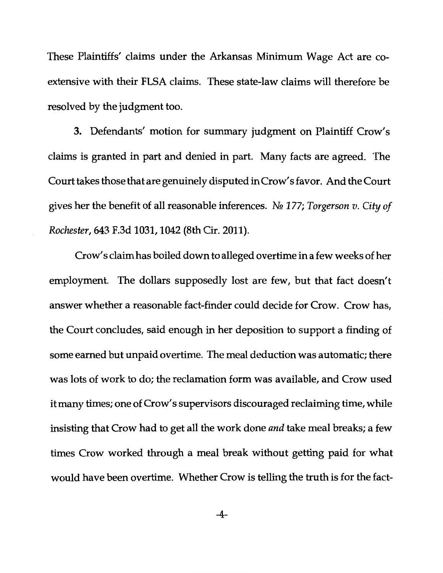These Plaintiffs' claims under the Arkansas Minimum Wage Act are coextensive with their FLSA claims. These state-law claims will therefore be resolved by the judgment too.

3. Defendants' motion for summary judgment on Plaintiff Crow's claims is granted in part and denied in part. Many facts are agreed. The Court takes those that are genuinely disputed in Crow' s favor. And the Court gives her the benefit of all reasonable inferences. N2 *177; Torgerson v. City of Rochester,* 643 F.3d 1031, 1042 (8th Cir. 2011).

Crow' s claim has boiled down to alleged overtime in a few weeks of her employment. The dollars supposedly lost are few, but that fact doesn't answer whether a reasonable fact-finder could decide for Crow. Crow has, the Court concludes, said enough in her deposition to support a finding of some earned but unpaid overtime. The meal deduction was automatic; there was lots of work to do; the reclamation form was available, and Crow used it many times; one of Crow's supervisors discouraged reclaiming time, while insisting that Crow had to get all the work done *and* take meal breaks; a few times Crow worked through a meal break without getting paid for what would have been overtime. Whether Crow is telling the truth is for the fact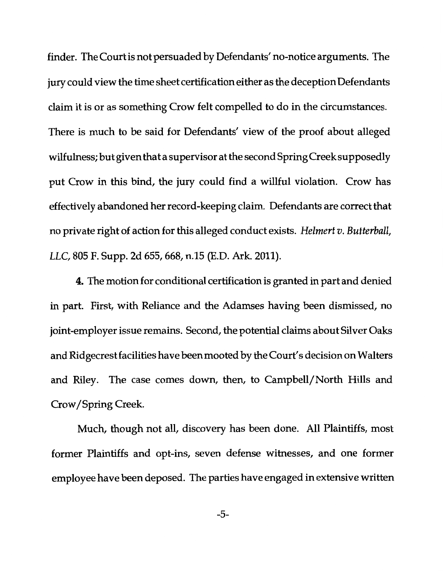finder. The Court is not persuaded by Defendants' no-notice arguments. The jury could view the time sheet certification either as the deception Defendants claim it is or as something Crow felt compelled to do in the circumstances. There is much to be said for Defendants' view of the proof about alleged wilfulness; but given that a supervisor at the second Spring Creek supposedly put Crow in this bind, the jury could find a willful violation. Crow has effectively abandoned her record-keeping claim. Defendants are correct that no private right of action for this alleged conduct exists. *Helmert v. Butterball,*  LLC, 805 F. Supp. 2d 655,668, n.15 (E.D. Ark. 2011).

4. The motion for conditional certification is granted in part and denied in part. First, with Reliance and the Adamses having been dismissed, no joint-employer issue remains. Second, the potential claims about Silver Oaks and Ridgecrest facilities have been mooted by the Court's decision on Walters and Riley. The case comes down, then, to Campbell/North Hills and Crow /Spring Creek.

Much, though not all, discovery has been done. All Plaintiffs, most former Plaintiffs and opt-ins, seven defense witnesses, and one former employee have been deposed. The parties have engaged in extensive written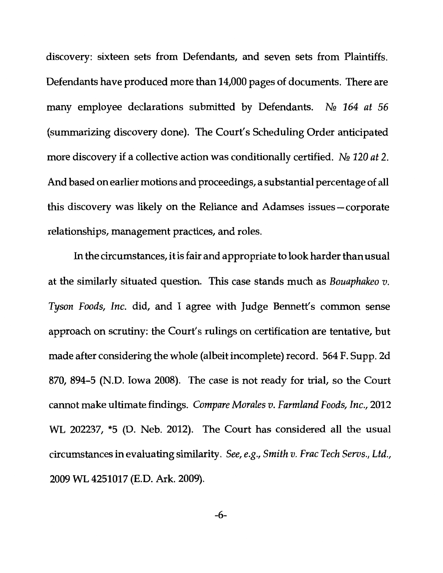discovery: sixteen sets from Defendants, and seven sets from Plaintiffs. Defendants have produced more than 14,000 pages of documents. There are many employee declarations submitted by Defendants. No 164 at 56 (summarizing discovery done). The Court's Scheduling Order anticipated more discovery if a collective action was conditionally certified. No 120 *at* 2. And based on earlier motions and proceedings, a substantial percentage of all this discovery was likely on the Reliance and Adamses issues- corporate relationships, management practices, and roles.

In the circumstances, it is fair and appropriate to look harder than usual at the similarly situated question. This case stands much as *Bouaphakeo v. Tyson Foods, Inc.* did, and I agree with Judge Bennett's common sense approach on scrutiny: the Court's rulings on certification are tentative, but made after considering the whole (albeit incomplete) record. 564 F. Supp. 2d 870, 894-5 (N.D. Iowa 2008). The case is not ready for trial, so the Court cannot make ultimate findings. *Compare Morales v. Farmland Foods, Inc.,* 2012 WL 202237, \*5 (D. Neb. 2012). The Court has considered all the usual circumstances in evaluating similarity. *See, e.g., Smith v. Frac Tech Servs., Ltd.,*  2009 WL 4251017 (E. D. Ark. 2009).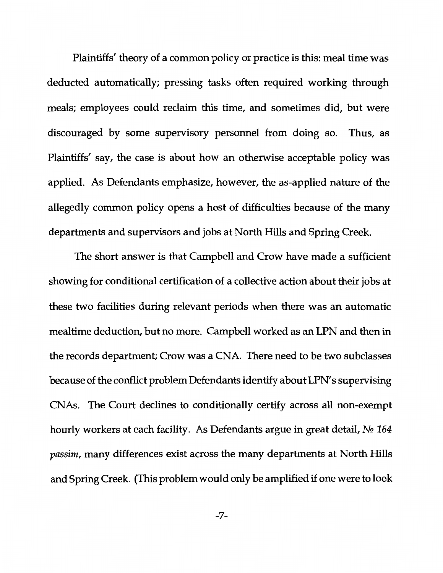Plaintiffs' theory of a common policy or practice is this: meal time was deducted automatically; pressing tasks often required working through meals; employees could reclaim this time, and sometimes did, but were discouraged by some supervisory personnel from doing so. Thus, as Plaintiffs' say, the case is about how an otherwise acceptable policy was applied. As Defendants emphasize, however, the as-applied nature of the allegedly common policy opens a host of difficulties because of the many departments and supervisors and jobs at North Hills and Spring Creek.

The short answer is that Campbell and Crow have made a sufficient showing for conditional certification of a collective action about their jobs at these two facilities during relevant periods when there was an automatic mealtime deduction, but no more. Campbell worked as an LPN and then in the records department; Crow was a CNA. There need to be two subclasses because of the conflict problem Defendants identify about LPN's supervising CNAs. The Court declines to conditionally certify across all non-exempt hourly workers at each facility. As Defendants argue in great detail,  $N_2$  164 *passim,* many differences exist across the many departments at North Hills and Spring Creek. (This problem would only be amplified if one were to look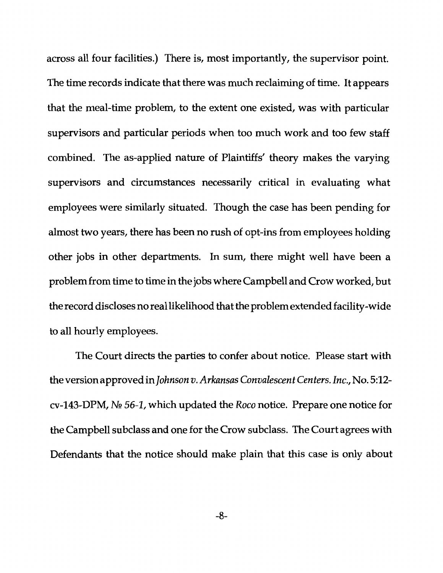across all four facilities.) There is, most importantly, the supervisor point. The time records indicate that there was much reclaiming of time. It appears that the meal-time problem, to the extent one existed, was with particular supervisors and particular periods when too much work and too few staff combined. The as-applied nature of Plaintiffs' theory makes the varying supervisors and circumstances necessarily critical in evaluating what employees were similarly situated. Though the case has been pending for almost two years, there has been no rush of opt-ins from employees holding other jobs in other departments. In sum, there might well have been a problem from time to time in the jobs where Campbell and Crow worked, but the record discloses no real likelihood that the problem extended facility-wide to all hourly employees.

The Court directs the parties to confer about notice. Please start with the version approved in *Johnson v. Arkansas Convalescent Centers. Inc.,* No. 5:12 cv-143-DPM, *NQ 56-1,* which updated the *Roco* notice. Prepare one notice for the Campbell subclass and one for the Crow subclass. The Court agrees with Defendants that the notice should make plain that this case is only about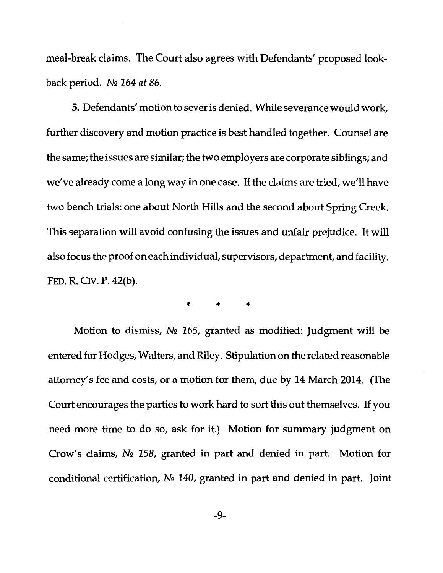meal-break claims. The Court also agrees with Defendants' proposed lookback period. NQ 164 *at* 86.

5. Defendants' motion to sever is denied. While severance would work, further discovery and motion practice is best handled together. Counsel are the same; the issues are similar; the two employers are corporate siblings; and we've already come a long way in one case. If the claims are tried, we'll have two bench trials: one about North Hills and the second about Spring Creek. This separation will avoid confusing the issues and unfair prejudice. It will also focus the proof on each individual, supervisors, department, and facility. FED. R. CIV. P. 42(b).

\* \* \*

Motion to dismiss,  $N<sub>2</sub>$  165, granted as modified: Judgment will be entered for Hodges, Walters, and Riley. Stipulation on the related reasonable attorney's fee and costs, or a motion for them, due by 14 March 2014. (The Court encourages the parties to work hard to sort this out themselves. If you need more time to do so, ask for it.) Motion for summary judgment on Crow's claims,  $N_2$  158, granted in part and denied in part. Motion for conditional certification,  $N<sub>2</sub>$  140, granted in part and denied in part. Joint